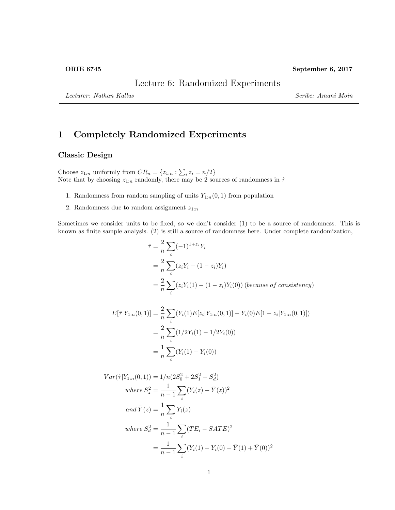Lecture 6: Randomized Experiments

Lecturer: Nathan Kallus Scribe: Amani Moin

# 1 Completely Randomized Experiments

### Classic Design

Choose  $z_{1:n}$  uniformly from  $CR_n = \{z_{1:n} : \sum_i z_i = n/2\}$ Note that by choosing  $z_{1:n}$  randomly, there may be 2 sources of randomness in  $\hat{\tau}$ 

- 1. Randomness from random sampling of units  $Y_{1:n}(0,1)$  from population
- 2. Randomness due to random assignment  $z_{1:n}$

Sometimes we consider units to be fixed, so we don't consider (1) to be a source of randomness. This is known as finite sample analysis. (2) is still a source of randomness here. Under complete randomization,

$$
\hat{\tau} = \frac{2}{n} \sum_{i} (-1)^{1+z_i} Y_i
$$
  
=  $\frac{2}{n} \sum_{i} (z_i Y_i - (1 - z_i) Y_i)$   
=  $\frac{2}{n} \sum_{i} (z_i Y_i (1) - (1 - z_i) Y_i (0))$  (because of consistency)

$$
E[\hat{\tau}|Y_{1:n}(0,1)] = \frac{2}{n} \sum_{i} (Y_i(1)E[z_i|Y_{1:n}(0,1)] - Y_i(0)E[1 - z_i|Y_{1:n}(0,1)])
$$
  
= 
$$
\frac{2}{n} \sum_{i} (1/2Y_i(1) - 1/2Y_i(0))
$$
  
= 
$$
\frac{1}{n} \sum_{i} (Y_i(1) - Y_i(0))
$$

$$
Var(\hat{\tau}|Y_{1:n}(0,1)) = 1/n(2S_0^2 + 2S_1^2 - S_d^2)
$$
  
\nwhere  $S_z^2 = \frac{1}{n-1} \sum_i (Y_i(z) - \bar{Y}(z))^2$   
\nand  $\bar{Y}(z) = \frac{1}{n} \sum_i Y_i(z)$   
\nwhere  $S_d^2 = \frac{1}{n-1} \sum_i (TE_i - SATE)^2$   
\n $= \frac{1}{n-1} \sum_i (Y_i(1) - Y_i(0) - \bar{Y}(1) + \bar{Y}(0))^2$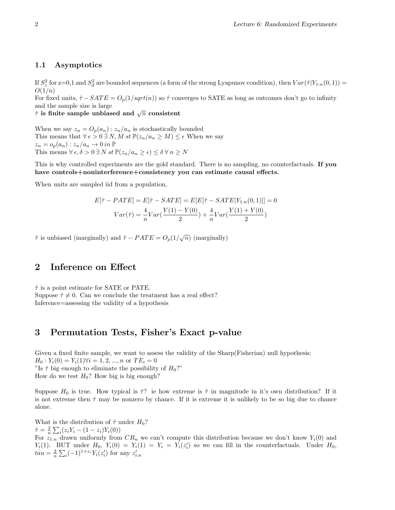#### 1.1 Asymptotics

If  $S_z^2$  for z=0,1 and  $S_d^2$  are bounded sequences (a form of the strong Lyapunov condition), then  $Var(\hat{\tau}|Y_{1:n}(0,1))$  =  $O(1/n)$ 

For fixed units,  $\hat{\tau}$  − SATE =  $O_p(1/sqrt(n))$  so  $\hat{\tau}$  converges to SATE as long as outcomes don't go to infinity and the sample size is large

and the sample size is large<br>  $\hat{\tau}$  is finite sample unbiased and  $\sqrt{n}$  consistent

When we say  $z_n = O_p(a_n) : z_n/a_n$  is stochastically bounded This means that  $\forall \epsilon > 0 \exists N, M \text{ st } \mathbb{P}(z_n/a_n \geq M) \leq \epsilon$  When we say  $z_n = o_p(a_n) : z_n/a_n \to 0$  in  $\mathbb P$ This means  $\forall \epsilon, \delta > 0 \exists N \text{ st } \mathbb{P}(z_n/a_n \geq \epsilon) \leq \delta \forall n \geq N$ 

This is why controlled experiments are the gold standard. There is no sampling, no counterfactuals. If you have controls+noninterference+consistency you can estimate causal effects.

When units are sampled iid from a population,

$$
E[\hat{\tau} - PATE] = E[\hat{\tau} - SATE] = E[E[\hat{\tau} - SATE|Y_{1:n}(0, 1)]] = 0
$$

$$
Var(\hat{\tau}) = \frac{4}{n}Var(\frac{Y(1) - Y(0)}{2}) + \frac{4}{n}Var(\frac{Y(1) + Y(0)}{2})
$$

 $\hat{\tau}$  is unbiased (marginally) and  $\hat{\tau} - PATE = O_p(1/\sqrt{n})$  (marginally)

# 2 Inference on Effect

 $\hat{\tau}$  is a point estimate for SATE or PATE. Suppose  $\hat{\tau} \neq 0$ . Can we conclude the treatment has a real effect? Inference=assessing the validity of a hypothesis

## 3 Permutation Tests, Fisher's Exact p-value

Given a fixed finite sample, we want to assess the validity of the Sharp(Fisherian) null hypothesis:  $H_0: Y_i(0) = Y_i(1) \forall i = 1, 2, ..., n \text{ or } TE_i = 0$ "Is  $\hat{\tau}$  big enough to eliminate the possibility of  $H_0$ ?" How do we test  $H_0$ ? How big is big enough?

Suppose  $H_0$  is true. How typical is  $\hat{\tau}$ ? ie how extreme is  $\hat{\tau}$  in magnitude in it's own distribution? If it is not extreme then  $\hat{\tau}$  may be nonzero by chance. If it is extreme it is unlikely to be so big due to chance alone.

What is the distribution of  $\hat{\tau}$  under  $H_0$ ?  $\hat{\tau} = \frac{2}{n} \sum_{i} (z_i Y_i - (1 - z_i) Y_i(0))$ For  $z_{1:n}$  drawn uniformly from  $CR_n$  we can't compute this distribution because we don't know  $Y_i(0)$  and  $Y_i(1)$ . BUT under  $H_0$ ,  $Y_i(0) = Y_i(1) = Y_i = Y_i(z'_i)$  so we can fill in the counterfactuals. Under  $H_0$ ,  $\hat{tau} = \frac{2}{n} \sum_i (-1)^{1+z_i} Y_i(z'_i)$  for any  $z'_{i:n}$